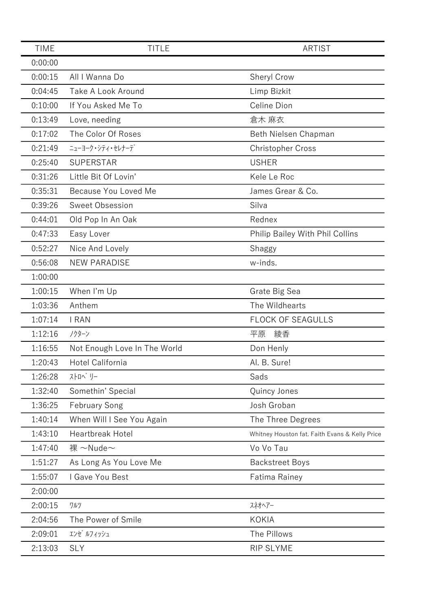| <b>TIME</b> | <b>TITLE</b>                 | <b>ARTIST</b>                                  |
|-------------|------------------------------|------------------------------------------------|
| 0:00:00     |                              |                                                |
| 0:00:15     | All I Wanna Do               | Sheryl Crow                                    |
| 0:04:45     | Take A Look Around           | Limp Bizkit                                    |
| 0:10:00     | If You Asked Me To           | Celine Dion                                    |
| 0:13:49     | Love, needing                | 倉木 麻衣                                          |
| 0:17:02     | The Color Of Roses           | Beth Nielsen Chapman                           |
| 0:21:49     | ニューヨーク・シティ・セレナーデ             | <b>Christopher Cross</b>                       |
| 0:25:40     | <b>SUPERSTAR</b>             | <b>USHER</b>                                   |
| 0:31:26     | Little Bit Of Lovin'         | Kele Le Roc                                    |
| 0:35:31     | Because You Loved Me         | James Grear & Co.                              |
| 0:39:26     | Sweet Obsession              | Silva                                          |
| 0:44:01     | Old Pop In An Oak            | Rednex                                         |
| 0:47:33     | Easy Lover                   | Philip Bailey With Phil Collins                |
| 0:52:27     | Nice And Lovely              | Shaggy                                         |
| 0:56:08     | <b>NEW PARADISE</b>          | w-inds.                                        |
| 1:00:00     |                              |                                                |
| 1:00:15     | When I'm Up                  | Grate Big Sea                                  |
| 1:03:36     | Anthem                       | The Wildhearts                                 |
| 1:07:14     | I RAN                        | <b>FLOCK OF SEAGULLS</b>                       |
| 1:12:16     | ノクターン                        | 綾香<br>平原                                       |
| 1:16:55     | Not Enough Love In The World | Don Henly                                      |
| 1:20:43     | Hotel California             | Al. B. Sure!                                   |
| 1:26:28     | ストロヘ゛リー                      | Sads                                           |
| 1:32:40     | Somethin' Special            | Quincy Jones                                   |
| 1:36:25     | <b>February Song</b>         | Josh Groban                                    |
| 1:40:14     | When Will I See You Again    | The Three Degrees                              |
| 1:43:10     | Heartbreak Hotel             | Whitney Houston fat. Faith Evans & Kelly Price |
| 1:47:40     | 裸 $\sim$ Nude $\sim$         | Vo Vo Tau                                      |
| 1:51:27     | As Long As You Love Me       | <b>Backstreet Boys</b>                         |
| 1:55:07     | I Gave You Best              | Fatima Rainey                                  |
| 2:00:00     |                              |                                                |
| 2:00:15     | ワルツ                          | スネオヘアー                                         |
| 2:04:56     | The Power of Smile           | <b>KOKIA</b>                                   |
| 2:09:01     | エンゼ ルフィッシュ                   | The Pillows                                    |
| 2:13:03     | <b>SLY</b>                   | RIP SLYME                                      |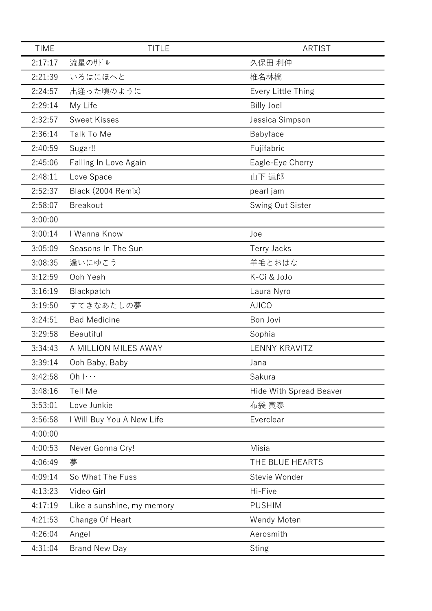| <b>TIME</b> | <b>TITLE</b>               | <b>ARTIST</b>                  |
|-------------|----------------------------|--------------------------------|
| 2:17:17     | 流星のサドル                     | 久保田 利伸                         |
| 2:21:39     | いろはにほへと                    | 椎名林檎                           |
| 2:24:57     | 出逢った頃のように                  | Every Little Thing             |
| 2:29:14     | My Life                    | <b>Billy Joel</b>              |
| 2:32:57     | <b>Sweet Kisses</b>        | Jessica Simpson                |
| 2:36:14     | Talk To Me                 | Babyface                       |
| 2:40:59     | Sugar!!                    | Fujifabric                     |
| 2:45:06     | Falling In Love Again      | Eagle-Eye Cherry               |
| 2:48:11     | Love Space                 | 山下 達郎                          |
| 2:52:37     | Black (2004 Remix)         | pearl jam                      |
| 2:58:07     | <b>Breakout</b>            | Swing Out Sister               |
| 3:00:00     |                            |                                |
| 3:00:14     | I Wanna Know               | Joe                            |
| 3:05:09     | Seasons In The Sun         | <b>Terry Jacks</b>             |
| 3:08:35     | 逢いにゆこう                     | 羊毛とおはな                         |
| 3:12:59     | Ooh Yeah                   | K-Ci & JoJo                    |
| 3:16:19     | Blackpatch                 | Laura Nyro                     |
| 3:19:50     | すてきなあたしの夢                  | <b>AJICO</b>                   |
| 3:24:51     | <b>Bad Medicine</b>        | Bon Jovi                       |
| 3:29:58     | Beautiful                  | Sophia                         |
| 3:34:43     | A MILLION MILES AWAY       | <b>LENNY KRAVITZ</b>           |
| 3:39:14     | Ooh Baby, Baby             | Jana                           |
| 3:42:58     | $Oh \cdots$                | Sakura                         |
| 3:48:16     | Tell Me                    | <b>Hide With Spread Beaver</b> |
| 3:53:01     | Love Junkie                | 布袋 寅泰                          |
| 3:56:58     | I Will Buy You A New Life  | Everclear                      |
| 4:00:00     |                            |                                |
| 4:00:53     | Never Gonna Cry!           | Misia                          |
| 4:06:49     | 夢                          | THE BLUE HEARTS                |
| 4:09:14     | So What The Fuss           | Stevie Wonder                  |
| 4:13:23     | Video Girl                 | Hi-Five                        |
| 4:17:19     | Like a sunshine, my memory | <b>PUSHIM</b>                  |
| 4:21:53     | Change Of Heart            | Wendy Moten                    |
| 4:26:04     | Angel                      | Aerosmith                      |
| 4:31:04     | <b>Brand New Day</b>       | <b>Sting</b>                   |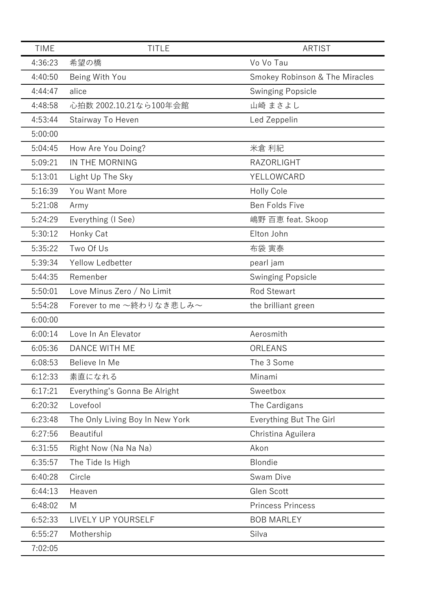| <b>TIME</b> | <b>TITLE</b>                    | <b>ARTIST</b>                             |
|-------------|---------------------------------|-------------------------------------------|
| 4:36:23     | 希望の橋                            | Vo Vo Tau                                 |
| 4:40:50     | Being With You                  | <b>Smokey Robinson &amp; The Miracles</b> |
| 4:44:47     | alice                           | <b>Swinging Popsicle</b>                  |
| 4:48:58     | 心拍数 2002.10.21なら100年会館          | 山崎 まさよし                                   |
| 4:53:44     | Stairway To Heven               | Led Zeppelin                              |
| 5:00:00     |                                 |                                           |
| 5:04:45     | How Are You Doing?              | 米倉 利紀                                     |
| 5:09:21     | IN THE MORNING                  | <b>RAZORLIGHT</b>                         |
| 5:13:01     | Light Up The Sky                | YELLOWCARD                                |
| 5:16:39     | You Want More                   | Holly Cole                                |
| 5:21:08     | Army                            | Ben Folds Five                            |
| 5:24:29     | Everything (I See)              | 嶋野 百恵 feat. Skoop                         |
| 5:30:12     | Honky Cat                       | Elton John                                |
| 5:35:22     | Two Of Us                       | 布袋 寅泰                                     |
| 5:39:34     | Yellow Ledbetter                | pearl jam                                 |
| 5:44:35     | Remenber                        | <b>Swinging Popsicle</b>                  |
| 5:50:01     | Love Minus Zero / No Limit      | <b>Rod Stewart</b>                        |
| 5:54:28     | Forever to me ~終わりなき悲しみ~        | the brilliant green                       |
| 6:00:00     |                                 |                                           |
| 6:00:14     | Love In An Elevator             | Aerosmith                                 |
| 6:05:36     | <b>DANCE WITH ME</b>            | ORLEANS                                   |
| 6:08:53     | Believe In Me                   | The 3 Some                                |
| 6:12:33     | 素直になれる                          | Minami                                    |
| 6:17:21     | Everything's Gonna Be Alright   | Sweetbox                                  |
| 6:20:32     | Lovefool                        | The Cardigans                             |
| 6:23:48     | The Only Living Boy In New York | Everything But The Girl                   |
| 6:27:56     | Beautiful                       | Christina Aguilera                        |
| 6:31:55     | Right Now (Na Na Na)            | Akon                                      |
| 6:35:57     | The Tide Is High                | Blondie                                   |
| 6:40:28     | Circle                          | Swam Dive                                 |
| 6:44:13     | Heaven                          | Glen Scott                                |
| 6:48:02     | M                               | <b>Princess Princess</b>                  |
| 6:52:33     | LIVELY UP YOURSELF              | <b>BOB MARLEY</b>                         |
| 6:55:27     | Mothership                      | Silva                                     |
| 7:02:05     |                                 |                                           |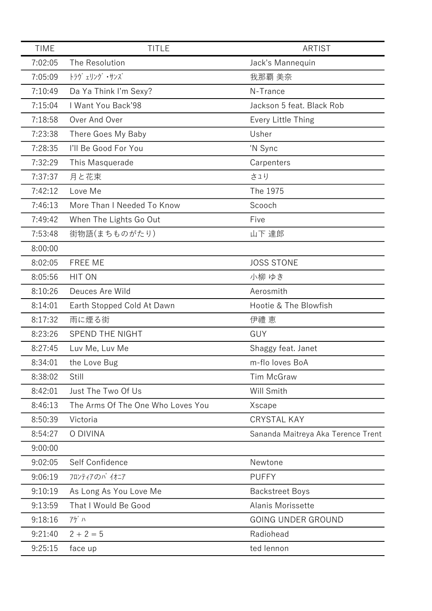| <b>TIME</b> | <b>TITLE</b>                      | <b>ARTIST</b>                      |
|-------------|-----------------------------------|------------------------------------|
| 7:02:05     | The Resolution                    | Jack's Mannequin                   |
| 7:05:09     | トラヴ ェリング ・サンズ                     | 我那覇 美奈                             |
| 7:10:49     | Da Ya Think I'm Sexy?             | N-Trance                           |
| 7:15:04     | I Want You Back'98                | Jackson 5 feat. Black Rob          |
| 7:18:58     | Over And Over                     | Every Little Thing                 |
| 7:23:38     | There Goes My Baby                | Usher                              |
| 7:28:35     | I'll Be Good For You              | 'N Sync                            |
| 7:32:29     | This Masquerade                   | Carpenters                         |
| 7:37:37     | 月と花束                              | さュり                                |
| 7:42:12     | Love Me                           | The 1975                           |
| 7:46:13     | More Than I Needed To Know        | Scooch                             |
| 7:49:42     | When The Lights Go Out            | Five                               |
| 7:53:48     | 街物語(まちものがたり)                      | 山下 達郎                              |
| 8:00:00     |                                   |                                    |
| 8:02:05     | FREE ME                           | <b>JOSS STONE</b>                  |
| 8:05:56     | HIT ON                            | 小柳 ゆき                              |
| 8:10:26     | Deuces Are Wild                   | Aerosmith                          |
| 8:14:01     | Earth Stopped Cold At Dawn        | Hootie & The Blowfish              |
| 8:17:32     | 雨に煙る街                             | 伊禮 恵                               |
| 8:23:26     | SPEND THE NIGHT                   | GUY                                |
| 8:27:45     | Luv Me, Luv Me                    | Shaggy feat. Janet                 |
| 8:34:01     | the Love Bug                      | m-flo loves BoA                    |
| 8:38:02     | Still                             | <b>Tim McGraw</b>                  |
| 8:42:01     | Just The Two Of Us                | Will Smith                         |
| 8:46:13     | The Arms Of The One Who Loves You | Xscape                             |
| 8:50:39     | Victoria                          | <b>CRYSTAL KAY</b>                 |
| 8:54:27     | O DIVINA                          | Sananda Maitreya Aka Terence Trent |
| 9:00:00     |                                   |                                    |
| 9:02:05     | Self Confidence                   | Newtone                            |
| 9:06:19     | フロンティアのパイオニア                      | <b>PUFFY</b>                       |
| 9:10:19     | As Long As You Love Me            | <b>Backstreet Boys</b>             |
| 9:13:59     | That I Would Be Good              | Alanis Morissette                  |
| 9:18:16     | アゲハ                               | <b>GOING UNDER GROUND</b>          |
| 9:21:40     | $2 + 2 = 5$                       | Radiohead                          |
| 9:25:15     | face up                           | ted lennon                         |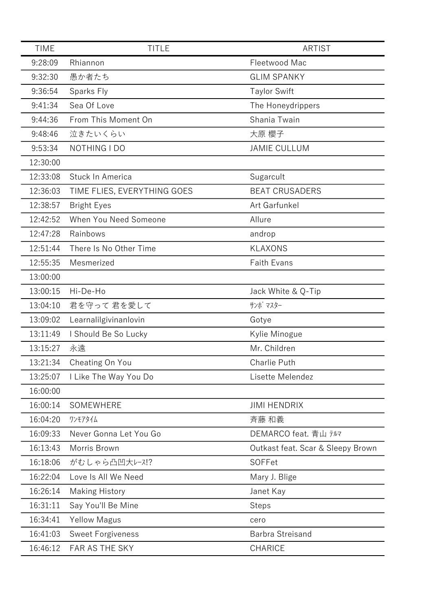| <b>TIME</b> | <b>TITLE</b>                | <b>ARTIST</b>                     |
|-------------|-----------------------------|-----------------------------------|
| 9:28:09     | Rhiannon                    | Fleetwood Mac                     |
| 9:32:30     | 愚か者たち                       | <b>GLIM SPANKY</b>                |
| 9:36:54     | Sparks Fly                  | <b>Taylor Swift</b>               |
| 9:41:34     | Sea Of Love                 | The Honeydrippers                 |
| 9:44:36     | From This Moment On         | Shania Twain                      |
| 9:48:46     | 泣きたいくらい                     | 大原 櫻子                             |
| 9:53:34     | NOTHING I DO                | <b>JAMIE CULLUM</b>               |
| 12:30:00    |                             |                                   |
| 12:33:08    | Stuck In America            | Sugarcult                         |
| 12:36:03    | TIME FLIES, EVERYTHING GOES | <b>BEAT CRUSADERS</b>             |
| 12:38:57    | <b>Bright Eyes</b>          | Art Garfunkel                     |
| 12:42:52    | When You Need Someone       | Allure                            |
| 12:47:28    | Rainbows                    | androp                            |
| 12:51:44    | There Is No Other Time      | <b>KLAXONS</b>                    |
| 12:55:35    | Mesmerized                  | <b>Faith Evans</b>                |
| 13:00:00    |                             |                                   |
| 13:00:15    | Hi-De-Ho                    | Jack White & Q-Tip                |
| 13:04:10    | 君を守って 君を愛して                 | サンボ マスター                          |
| 13:09:02    | Learnalilgivinanlovin       | Gotye                             |
| 13:11:49    | I Should Be So Lucky        | Kylie Minogue                     |
| 13:15:27    | 永遠                          | Mr. Children                      |
| 13:21:34    | Cheating On You             | <b>Charlie Puth</b>               |
| 13:25:07    | I Like The Way You Do       | Lisette Melendez                  |
| 16:00:00    |                             |                                   |
| 16:00:14    | SOMEWHERE                   | <b>JIMI HENDRIX</b>               |
| 16:04:20    | ワンモアタイム                     | 斉藤 和義                             |
| 16:09:33    | Never Gonna Let You Go      | DEMARCO feat. 青山 テルマ              |
| 16:13:43    | Morris Brown                | Outkast feat. Scar & Sleepy Brown |
| 16:18:06    | がむしゃら凸凹大レース!?               | SOFFet                            |
| 16:22:04    | Love Is All We Need         | Mary J. Blige                     |
| 16:26:14    | <b>Making History</b>       | Janet Kay                         |
| 16:31:11    | Say You'll Be Mine          | <b>Steps</b>                      |
| 16:34:41    | <b>Yellow Magus</b>         | cero                              |
| 16:41:03    | <b>Sweet Forgiveness</b>    | Barbra Streisand                  |
| 16:46:12    | FAR AS THE SKY              | CHARICE                           |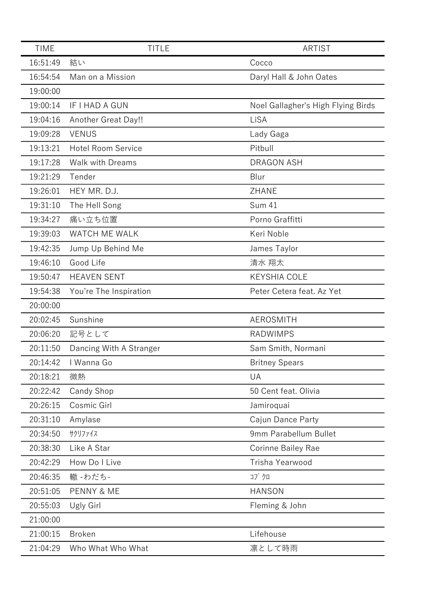| <b>TIME</b> | <b>TITLE</b>              | <b>ARTIST</b>                      |
|-------------|---------------------------|------------------------------------|
| 16:51:49    | 結い                        | Cocco                              |
| 16:54:54    | Man on a Mission          | Daryl Hall & John Oates            |
| 19:00:00    |                           |                                    |
| 19:00:14    | IF I HAD A GUN            | Noel Gallagher's High Flying Birds |
| 19:04:16    | Another Great Day!!       | LiSA                               |
| 19:09:28    | <b>VENUS</b>              | Lady Gaga                          |
| 19:13:21    | <b>Hotel Room Service</b> | Pitbull                            |
| 19:17:28    | <b>Walk with Dreams</b>   | <b>DRAGON ASH</b>                  |
| 19:21:29    | Tender                    | Blur                               |
| 19:26:01    | HEY MR. D.J.              | <b>ZHANE</b>                       |
| 19:31:10    | The Hell Song             | <b>Sum 41</b>                      |
| 19:34:27    | 痛い立ち位置                    | Porno Graffitti                    |
| 19:39:03    | WATCH ME WALK             | Keri Noble                         |
| 19:42:35    | Jump Up Behind Me         | James Taylor                       |
| 19:46:10    | Good Life                 | 清水 翔太                              |
| 19:50:47    | <b>HEAVEN SENT</b>        | <b>KEYSHIA COLE</b>                |
| 19:54:38    | You're The Inspiration    | Peter Cetera feat. Az Yet          |
| 20:00:00    |                           |                                    |
| 20:02:45    | Sunshine                  | AEROSMITH                          |
| 20:06:20    | 記号として                     | <b>RADWIMPS</b>                    |
| 20:11:50    | Dancing With A Stranger   | Sam Smith, Normani                 |
| 20:14:42    | I Wanna Go                | <b>Britney Spears</b>              |
| 20:18:21    | 微熱                        | UA                                 |
| 20:22:42    | Candy Shop                | 50 Cent feat. Olivia               |
| 20:26:15    | Cosmic Girl               | Jamiroquai                         |
| 20:31:10    | Amylase                   | Cajun Dance Party                  |
| 20:34:50    | サクリファイス                   | 9mm Parabellum Bullet              |
| 20:38:30    | Like A Star               | <b>Corinne Bailey Rae</b>          |
| 20:42:29    | How Do I Live             | Trisha Yearwood                    |
| 20:46:35    | 轍 -わだち-                   | コブクロ                               |
| 20:51:05    | <b>PENNY &amp; ME</b>     | <b>HANSON</b>                      |
| 20:55:03    | Ugly Girl                 | Fleming & John                     |
| 21:00:00    |                           |                                    |
| 21:00:15    | <b>Broken</b>             | Lifehouse                          |
| 21:04:29    | Who What Who What         | 凛として時雨                             |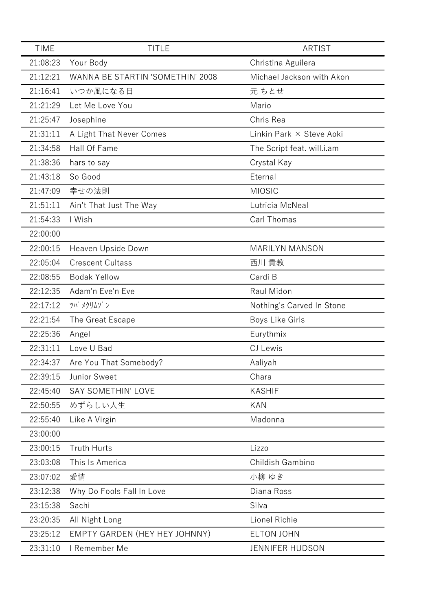| <b>TIME</b> | <b>TITLE</b>                     | <b>ARTIST</b>              |
|-------------|----------------------------------|----------------------------|
| 21:08:23    | Your Body                        | Christina Aguilera         |
| 21:12:21    | WANNA BE STARTIN 'SOMETHIN' 2008 | Michael Jackson with Akon  |
| 21:16:41    | いつか風になる日                         | 元 ちとせ                      |
| 21:21:29    | Let Me Love You                  | Mario                      |
| 21:25:47    | Josephine                        | Chris Rea                  |
| 21:31:11    | A Light That Never Comes         | Linkin Park × Steve Aoki   |
| 21:34:58    | Hall Of Fame                     | The Script feat. will.i.am |
| 21:38:36    | hars to say                      | Crystal Kay                |
| 21:43:18    | So Good                          | Eternal                    |
| 21:47:09    | 幸せの法則                            | <b>MIOSIC</b>              |
| 21:51:11    | Ain't That Just The Way          | Lutricia McNeal            |
| 21:54:33    | I Wish                           | Carl Thomas                |
| 22:00:00    |                                  |                            |
| 22:00:15    | Heaven Upside Down               | <b>MARILYN MANSON</b>      |
| 22:05:04    | <b>Crescent Cultass</b>          | 西川 貴教                      |
| 22:08:55    | <b>Bodak Yellow</b>              | Cardi B                    |
| 22:12:35    | Adam'n Eve'n Eve                 | Raul Midon                 |
| 22:17:12    | ツバ メクリムゾ ン                       | Nothing's Carved In Stone  |
| 22:21:54    | The Great Escape                 | <b>Boys Like Girls</b>     |
| 22:25:36    | Angel                            | Eurythmix                  |
| 22:31:11    | Love U Bad                       | CJ Lewis                   |
| 22:34:37    | Are You That Somebody?           | Aaliyah                    |
| 22:39:15    | Junior Sweet                     | Chara                      |
| 22:45:40    | <b>SAY SOMETHIN' LOVE</b>        | <b>KASHIF</b>              |
| 22:50:55    | めずらしい人生                          | <b>KAN</b>                 |
| 22:55:40    | Like A Virgin                    | Madonna                    |
| 23:00:00    |                                  |                            |
| 23:00:15    | <b>Truth Hurts</b>               | Lizzo                      |
| 23:03:08    | This Is America                  | Childish Gambino           |
| 23:07:02    | 愛情                               | 小柳 ゆき                      |
| 23:12:38    | Why Do Fools Fall In Love        | Diana Ross                 |
| 23:15:38    | Sachi                            | Silva                      |
| 23:20:35    | All Night Long                   | Lionel Richie              |
| 23:25:12    | EMPTY GARDEN (HEY HEY JOHNNY)    | <b>ELTON JOHN</b>          |
| 23:31:10    | I Remember Me                    | JENNIFER HUDSON            |